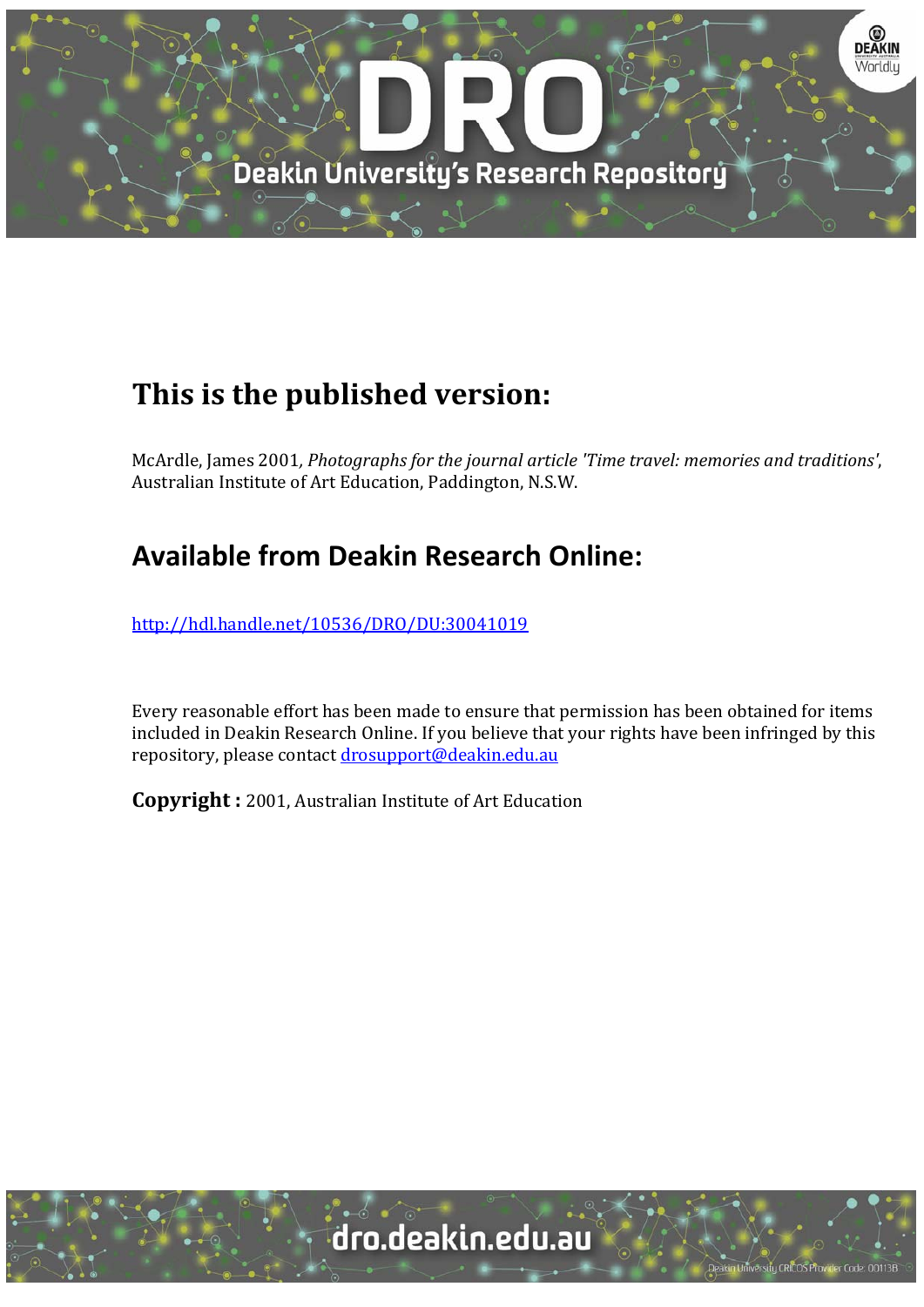

# **This is the published version:**

McArdle, James 2001*, Photographs for the journal article 'Time travel: memories and traditions'*, Australian Institute of Art Education, Paddington, N.S.W.

# **Available from Deakin Research Online:**

http://hdl.handle.net/10536/DRO/DU:30041019

Every reasonable effort has been made to ensure that permission has been obtained for items included in Deakin Research Online. If you believe that your rights have been infringed by this repository, please contact drosupport@deakin.edu.au

**Copyright** : 2001, Australian Institute of Art Education

University CRICOS Provider Code: 00113E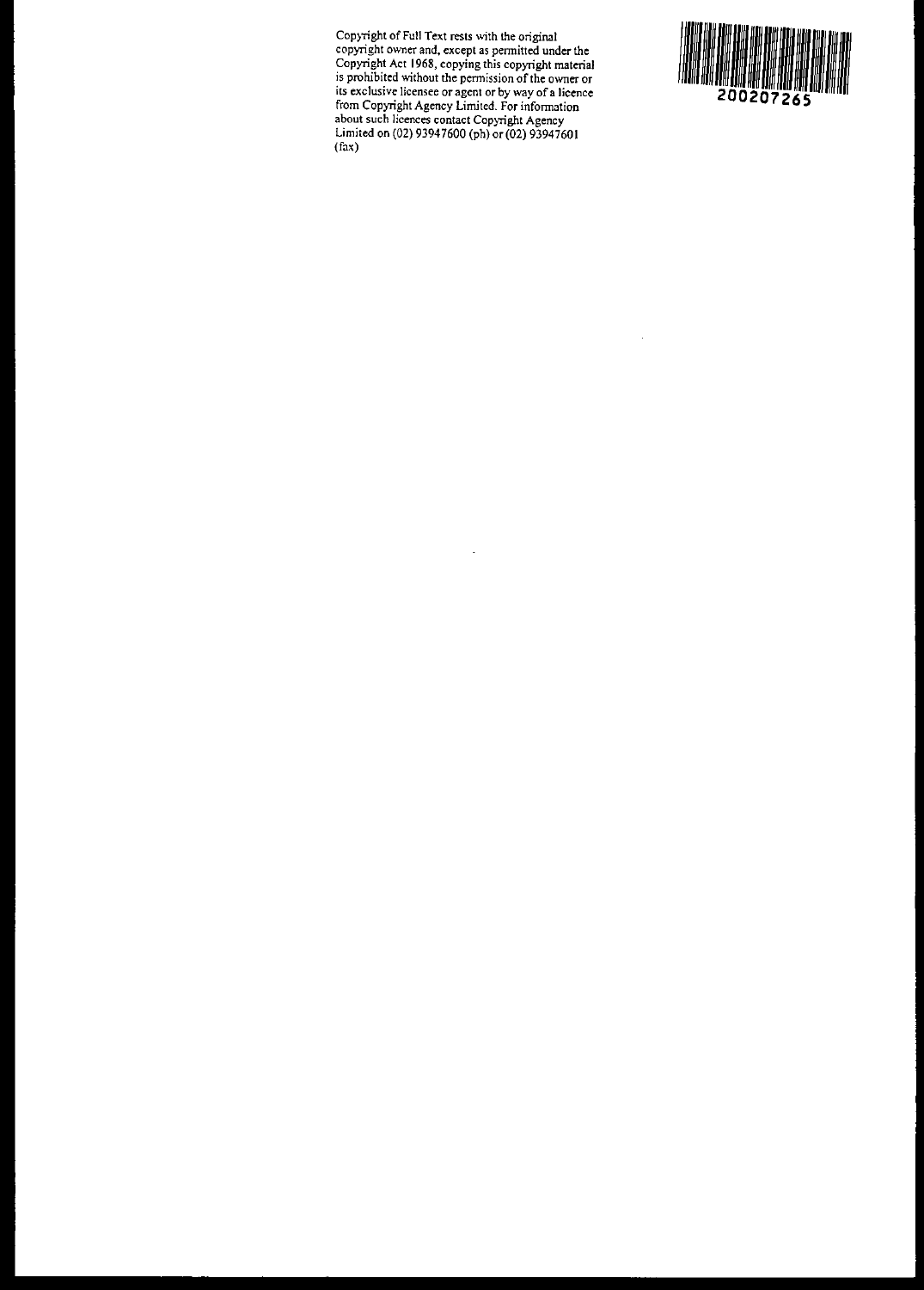**COP)Tight of Full Text rests with the original copyright ovmer and, except as permitted under the Copyright Act 1968, copying this copyright material is prohibited without the permission** ofthe **owner or its exclusive licensee or agent or by way of a licence from Copyright Agency Limited. For information about such licences contact Copyright Agency** Limited on (02) 93947600 (ph) or (02) 93947601  $(fax)$ 



l,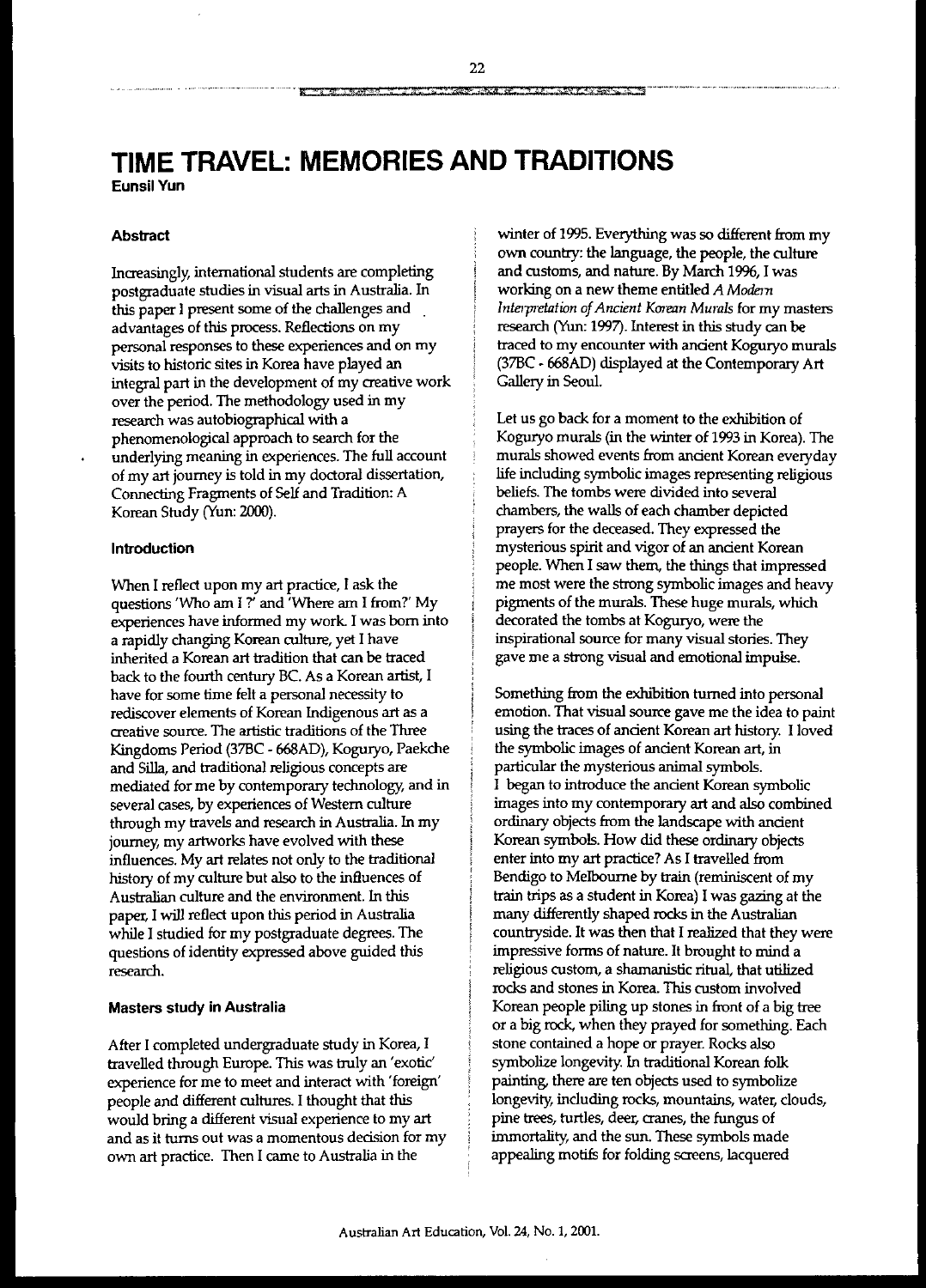# **TIME TRAVEL: MEMORIES AND TRADITIONS Eunsil Vun**

## **Abstract**

Increasingly, international students are completing postgraduate studies in visual arts in Australia. In this paper I present some of the challenges and advantages of this process. Reflections on my personal responses to these experiences and on my visits to historic sites in Korea have played an integral part in the development of my creative work over the period. The methodology used in my research was autobiographical with a phenomenological approach to search for the underlying meaning in experiences. The full account of my art journey is told in my doctoral dissertation, Connecting Fragments of Self and Tradition: A Korean Study (Yun: 2000).

## **Introduction**

When I reflect upon my art practice, I ask the questions 'Who am I?' and 'Where am I from?' My experiences have informed my work. I was born into a rapidly changing Korean culture, yet I have inherited a Korean art tradition that can be traced back to the fourth century BC. As a Korean artist, I have for some time felt a personal necessity to rediscover elements of Korean Indigenous art as a creative source. The artistic traditions of the Three Kingdoms Period (37BC - 668AD), Koguryo, Paekche and Silla, and traditional religious concepts are mediated for *me* by contemporary technology, and in several cases, by experiences of Western culture through my travels and research in Australia. In my journey, my artworks have evolved with these influences. My art relates not only to the traditional history of my culture but also to the influences of Australian culture and the environment. In this paper, I will reflect upon this period in Australia while I studied for my postgraduate degrees. The questions of identity expressed above guided this research.

## **Masters study in Australia**

After I completed undergraduate study in Korea, I travelled through Europe. This was truly an 'exotic' experience for me to meet and interact with 'foreign' people and different cultures. I thought that this would bring a different visual experience to my art and as it turns out was a momentous decision for my own art practice. Then I came to Australia in the

winter of 1995. Everything was so different from my own country: the language, the people, the culture and customs, and nature. By March 1996, I was working on a new theme entitled *A Modern Interpretation ofAncient Korean Murals* for my masters research (Yun: 1997). Interest in this study can be traced to my encounter with ancient Koguryo murals (37BC - 668AD) displayed at the Contemporary Art Gallery in Seoul.

Let us go back for a moment to the exhibition of Koguryo murals (in the winter of 1993 in Korea). The murals showed events from ancient Korean everyday life including symbolic images representing religious beliefs. The tombs were divided into several chambers, the walls of each chamber depicted prayers for the deceased. They expressed the mysterious spirit and vigor of an ancient Korean people. When I saw them, the things that impressed me most were the strong symbolic images and heavy pigments of the murals. These huge murals, which decorated the tombs at Koguryo, were the inspirational source for many visual stories. They gave me a strong visual and emotional impulse.

Something from the exhibition turned into personal emotion. That visual source gave me the idea to paint using the traces of ancient Korean art history. I loved the symbolic images of ancient Korean art, in particular the mysterious animal symbols. I began to introduce the ancient Korean symbolic images into my contemporary art and also combined ordinary *objects* from the landscape with ancient Korean symbols. How did these ordinary objects enter into my art practice? As I travelled from Bendigo to Melbourne by train (reminiscent of my train trips as a student in Korea) I was gazing at the many differently shaped rocks in the Australian countryside. It was then that I realized that they were impressive forms of nature. It brought to mind a religious custom, a shamanistic ritual, that utilized rocks and stones in Korea. This custom involved Korean people piling up stones in front of a big tree or a big rock, when they prayed for something. Each stone contained a hope or prayer. Rocks also symbolize longevity. In traditional Korean folk painting, there are ten objects used to symbolize longevity, including rocks, mountains, *water,* clouds, pine trees, turtles, deer, cranes, the fungus of immortality, and the sun. These symbols made appealing motifs for folding screens, lacquered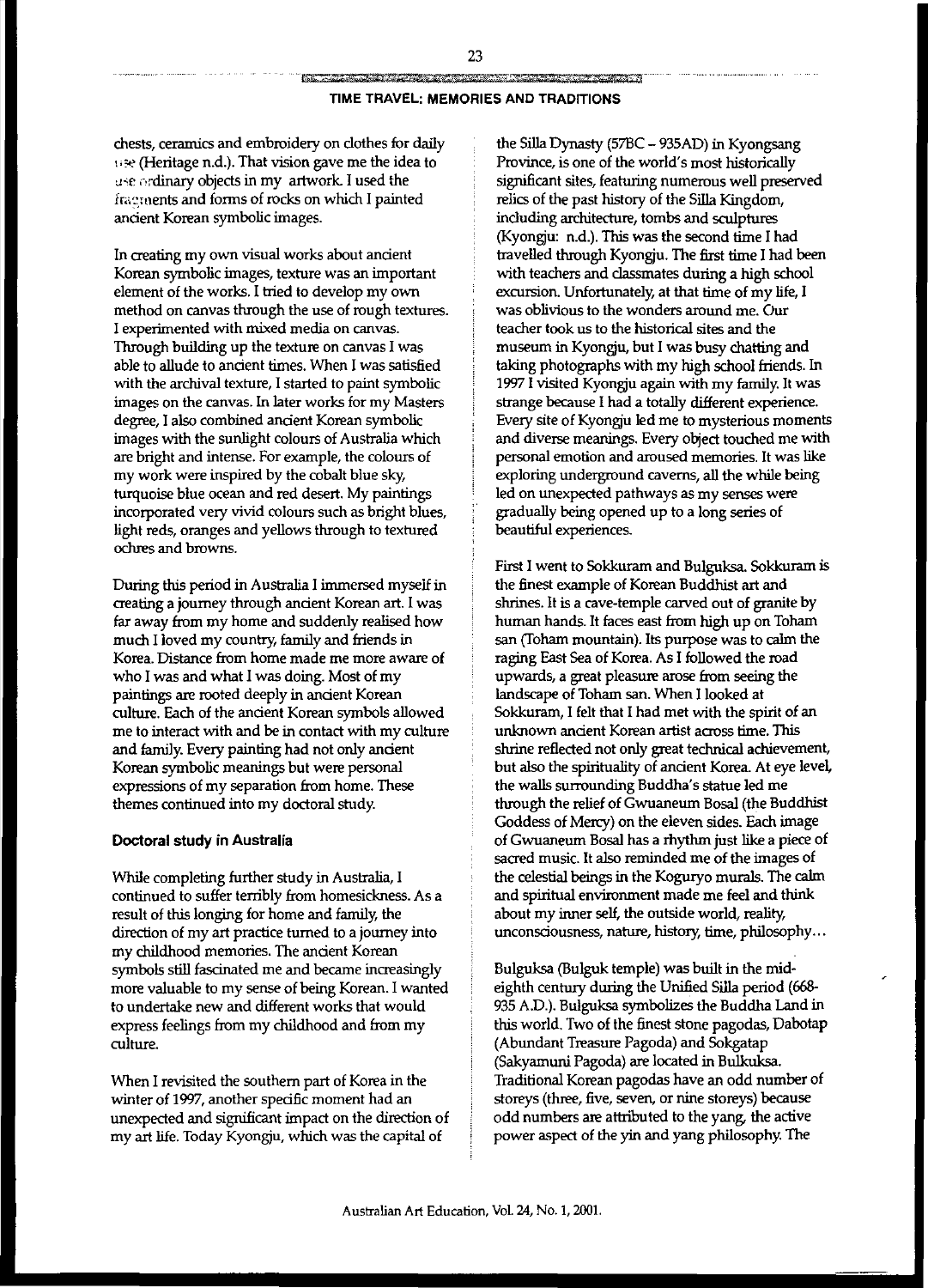## **TIME TRAVEL: MEMORIES AND TRADITIONS**

chests, ceramics and embroidery on clothes for daily *\.;e* (Heritage n.d.). That vision gave me the idea to use ordinary objects in my artwork. I used the fractuents and forms of rocks on which I painted ancient Korean symbolic images.

In creating my own visual works about ancient Korean symbolic images, texture was an important element of the works. I tried to develop my own method on canvas through the use of rough textures. I experimented with mixed media on canvas. Through building up the texture on canvas I was able to allude to ancient times. When I was satisfied with the archival texture, I started to paint symbolic images on the canvas. In later works for my Masters degree, I also combined ancient Korean symbolic images with the sunlight colours of Australia which are bright and intense. For example, the colours of my work were inspired by the cobalt blue sky, turquoise blue ocean and red desert. My paintings incorporated very vivid colours such as bright blues, light reds, oranges and yellows through to textured ochres and browns.

During this period in Australia I immersed myself in creating a journey through ancient Korean art. I was far away from my home and suddenly realised how much I loved my country, family and friends in Korea. Distance from home made me more aware of who I was and what I was doing. Most of my paintings are rooted deeply in ancient Korean culture. Each of the ancient Korean symbols allowed me to interact with and be in contact with my culture and farniJy. Every painting had not only ancient Korean symbolic meanings but were personal expressions of my separation from home. These themes continued into my doctoral study.

## **Doctoral study in Australia**

While completing further study in Australia, I continued to suffer terribly from homesickness. As a result of this longing for home and farniJy, the direction of my art practice turned to a journey into my childhood memories. The ancient Korean symbols still fascinated me and became increasingly more valuable to my sense of being Korean. I wanted to undertake new and different works that would express feelings from my childhood and from my culture.

When I revisited the southern part of Korea in the winter of 1997, another specific moment had an unexpected and significant impact on the direction of my art life. Today Kyongju, which was the capital of

the SiIIa Dynasty (57BC - 935AD) in Kyongsang Province, is one of the world's most historically significant sites, featuring numerous well preserved relics of the past history of the SiIIa Kingdom, including architecture, tombs and sculptures (Kyongju: n.d.). This was the second time I had travelled through Kyongju. The first time I had been with teachers and classmates during a high school excursion. Unfortunately, at that time of my life, I was oblivious to the wonders around me. Our teacher took us to the historical sites and the museum in Kyongju, but I was busy chatting and taking photographs with my high school friends. In 1997 I visited Kyongju again with my farniJy. It was strange because I had a totally different experience. Every site of Kyongju led me to mysterious moments and diverse meanings. Every object touched me with personal emotion and aroused memories. It was like exploring underground caverns, all the while being led on unexpected pathways as my senses were gradually being opened up to a long series of beautiful experiences.

First I went to Sokkuram and Bulguksa. Sokkuram is the finest example of Korean Buddhist art and shrines. It is a cave-temple carved out of granite by human hands. It faces east from high up on Toham san (Toham mountain). Its purpose was to calm the raging East Sea of Korea. As I followed the road upwards, a great pleasure arose from seeing the landscape of Toham san. When I looked at Sokkuram, I felt that I had met with the spirit of an unknown ancient Korean artist across time. This shrine reflected not only great technical achievement, but also the spirituality of ancient Korea. At eye level, the walls surrounding Buddha's statue led me through the relief of Gwuaneum Bosal (the Buddhist Goddess of Mercy) on the eleven sides. Each image of Gwuaneum Bosal has a rhythm just like a piece of sacred music. It also reminded me of the images of the celestial beings in the Koguryo murals. The calm and spiritual environment made me feel and think about my inner self, the outside world, reality, unconsciousness, nature, history, time, philosophy...

Bulguksa (Bulguk temple) was built in the mideighth century during the Unified SiIIa period (668- 935 AD.). Bulguksa symbolizes the Buddha Land in this world. Two of the finest stone pagodas, Dabotap (Abundant Treasure Pagoda) and Sokgatap (Sakyamuni Pagoda) are located in BuIkuksa. Traditional Korean pagodas have an odd number of storeys (three, five, seven, or nine storeys) because odd numbers are attributed to the yang, the active power aspect of the yin and yang philosophy. The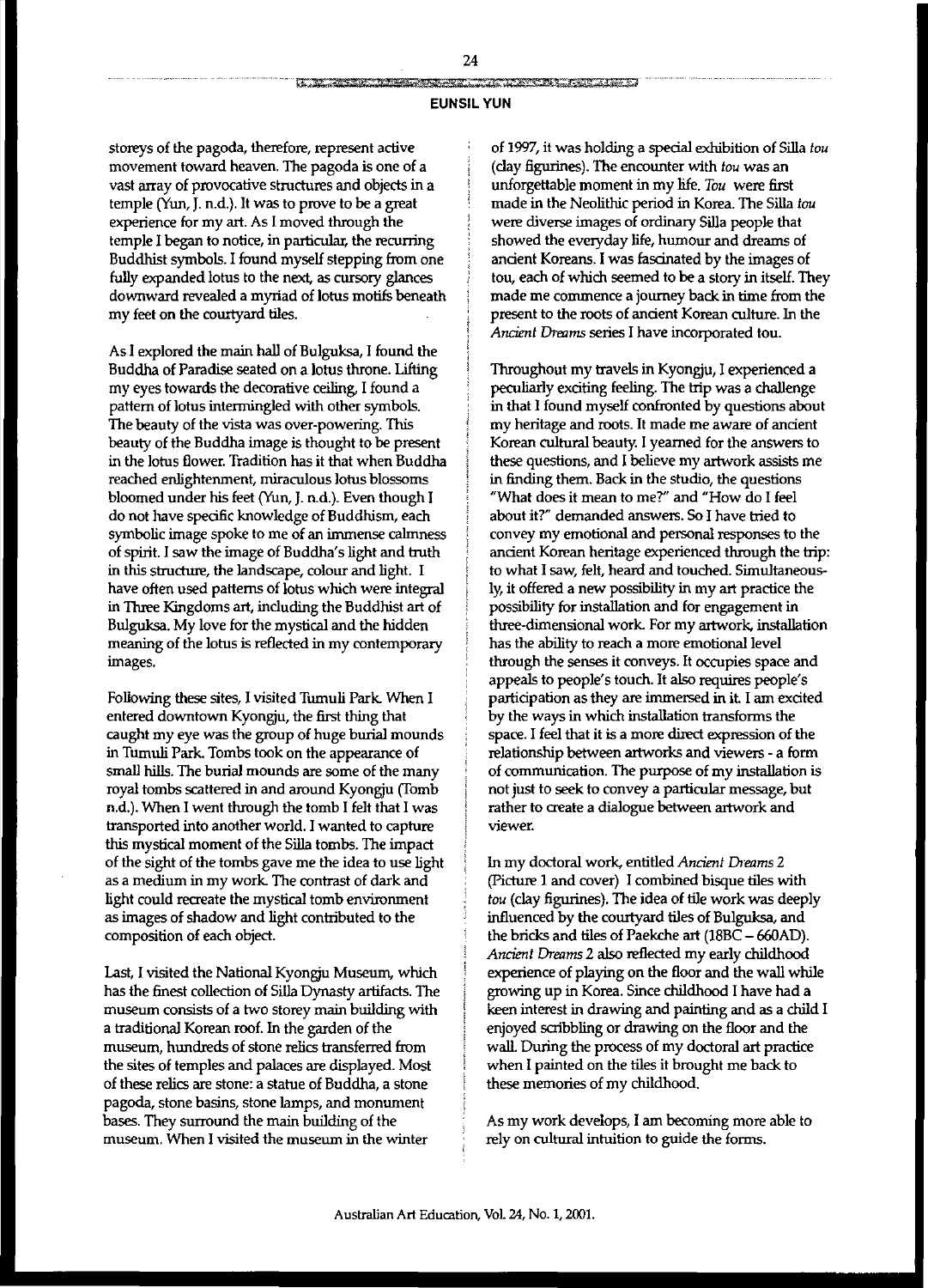## **EUNSIL YUN**

storeys of the pagoda, therefore, represent active movement toward heaven. The pagoda is one of a vast array of provocative structures and objects in a temple (Yun, J. n.d.). It was to prove to be a great experience for my art. As I moved through the temple I began to notice, in particuIar, the recurring Buddhist symbols. I found myself stepping from one fully expanded lotus to the next, as cursory glances downward revealed a myriad of lotus motifs beneath my feet on the courtyard tiles.

As I explored the main hall of Bulguksa, I found the Buddha of Paradise seated on a lotus throne. Lifting my eyes towards the decorative ceiling, I found a pattern of lotus intermingled with other symbols. The beauty of the vista was over-powering. This beauty of the Buddha image is thought to be present in the lotus flower. Tradition has it that when Buddha reached enlightenment, miraculous lotus blossoms bloomed under his feet (Yun, J. n.d.). Even though I do not have specific knowledge of Buddhism, each symbolic image spoke to me of an immense calmness of spirit. I saw the image of Buddha's light and truth in this structure, the landscape, colour and light. I have often used patterns of lotus which were integral in Three Kingdoms art, including the Buddhist art of Bulguksa. My love for the mystical and the hidden meaning of the lotus is reflected in my contemporary images.

Following these sites, I visited Tumuli Park. When I entered downtown Kyongju, the first thing that caught my eye was the group of huge burial mounds in Tumuli Park. Tombs took on the appearance of small hills. The burial mounds are some of the many royal tombs scattered in and around Kyongju (Tomb n.d.). When I went through the tomb I felt that I was transported into another world. I wanted to capture this mystical moment of the Silla tombs. The impact of the sight of the tombs gave me the idea to use light as a medium in my work. The contrast of dark and light could recreate the mystical tomb environment as images of shadow and light contributed to the composition of each object.

last, I visited the National Kyongju Museum, which has the finest collection of Silla Dynasty artifacts. The museum consists of a two storey main building with a traditional Korean roof. In the garden of the museum, hundreds of stone relics transferred from the sites of temples and palaces are displayed. Most of these relics are stone: a statue of Buddha, a stone pagoda, stone basins, stone lamps, and monument bases. They surround the main building of the museum. When I visited the museum in the winter

of 1997, it was holding a special exhibition of Silla *tou* (clay figurines). The encounter with *tou* was an unforgettable moment in my life. *Tou* were first made in the Neolithic period in Korea. The Silla *tou* were diverse images of ordinary Silla people that showed the everyday life, humour and dreams of ancient Koreans. I was fascinated by the images of tou, each of which seemed to be a story in itself. They made me commence a journey back in time from the present to the roots of ancient Korean culture. In the Ancient *Dreams* series I have incorporated tou.

Throughout my travels in Kyongju, I experienced a peculiarly exciting feeling. The trip was a challenge in that I found myself confronted by questions about my heritage and roots. It made me aware of ancient Korean cultural beauty. I yearned for the answers to these questions, and I believe my artwork assists me in finding them. Back in the studio, the questions "What does it mean to me?" and "How do I feel about it?" demanded answers. So I have tried to convey my emotional and personal responses to the ancient Korean heritage experienced through the trip: to what I saw, felt, heard and touched. Simultaneously, it offered a new possibility in my art practice the possibility for installation and for engagement in three-dimensional work. For my artwork, installation has the ability to reach a more emotional level through the senses it conveys. It occupies space and appeals to people's touch. It also requires people's participation as they are immersed in it I am excited by the ways in which installation transforms the space. I feel that it is a more direct expression of the relationship between artworks and viewers - a form of communication. The purpose of my installation is not just to seek to convey a particular message, but rather to create a dialogue between artwork and **viewer.**

In my doctoral work, entitled *Ancient Dreams* 2 (Picture 1 and cover) I combined bisque tiles with *tou* (clay figurines). The idea of tile work was deeply influenced by the courtyard tiles of Bulguksa, and the bricks and tiles of Paekche art (18BC - 66OAD). *Ancient Dreams* 2 also reflected my early childhood experience of playing on the floor and the wall while growing up in Korea. Since childhood I have had a keen interest in drawing and painting and as a child I enjoyed scribbling or drawing on the floor and the wall. During the process of my doctoral art practice when I painted on the tiles it brought me back to these memories of my childhood.

As my work develops, I am becoming more able to rely on culturaI intuition to guide the forms.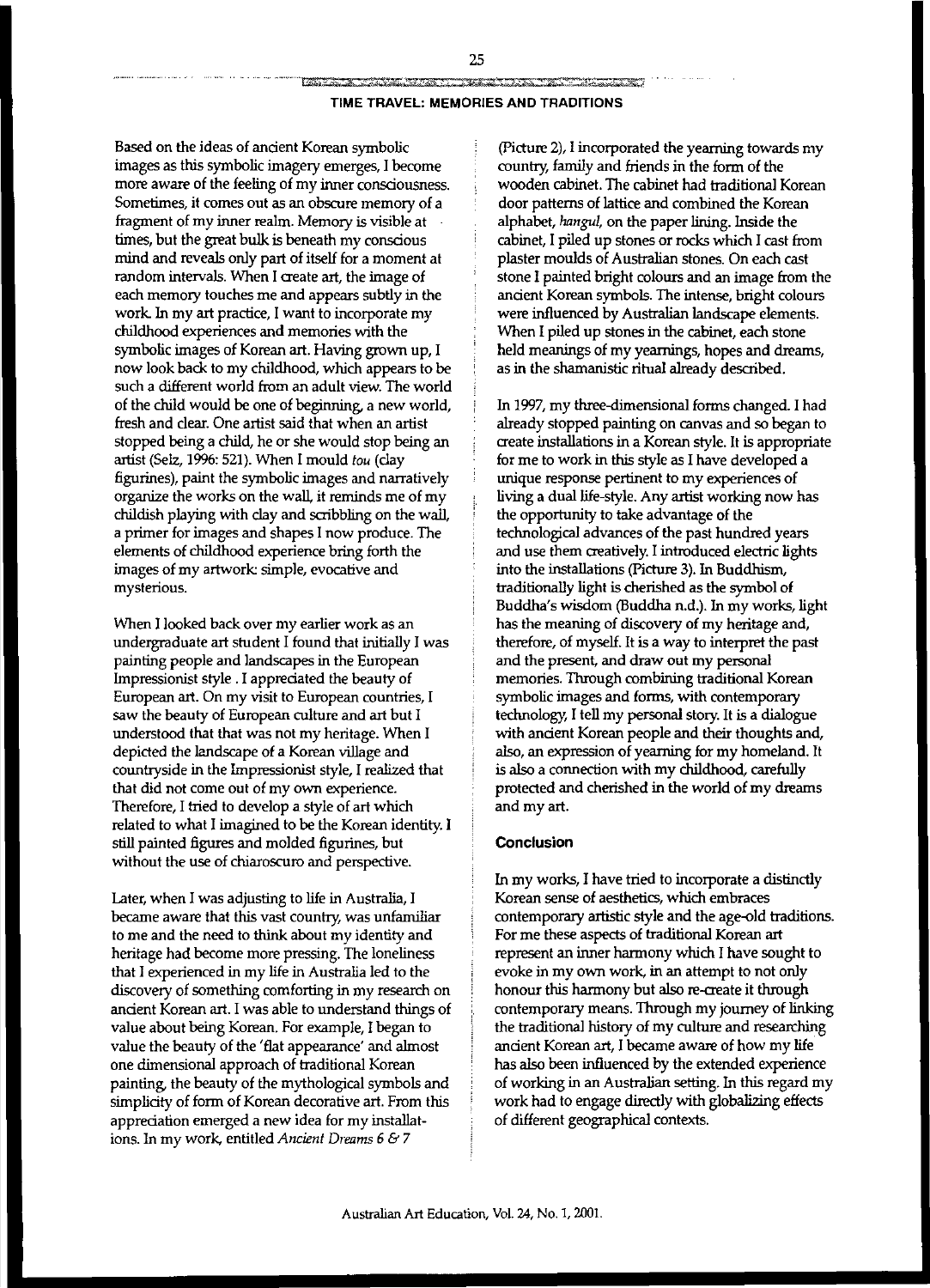#### **TIME TRAVEL: MEMORIES AND TRADITIONS**

Based on the ideas of ancient Korean symbolic images as this symbolic imagery emerges, I become more aware of the feeling of my inner consciousness. Sometimes, it comes out as an obscure *memory* of a fragment of my inner realm. Memory is visible at times, but the great bulk is beneath my conscious mind and reveals only part of itself for a moment at random intervals. When I create art, the image of each *memory* touches me and appears subtly in the work. In my art practice, I want to incorporate my childhood experiences and memories with the symbolic images of Korean art. Having grown up, I now look back to my childhood, which appears to be such a different world from an adult view. The world of the child would be one of beginning, a new world, fresh and clear. One artist said that when an artist stopped being a child, he or she would stop being an artist (Selz, 1996: 521). When I mould *tau* (clay figurines), paint the symbolic images and narratively organize the works On the waIl, it reminds me of my childish playing with clay and scribbling on the waIl, a primer for images and shapes I now produce. The elements of childhood experience bring forth the images of my artwork simple, evocative and mysterious.

When I looked back over my earlier work as an undergraduate art student I found that initiaIIy I was painting people and landscapes in the European Impressionist style. I appreciated the beauty of European art. On my visit to European countries, I saw the beauty of European culture and art but I understood that that was not my heritage. When I depicted the landscape of a Korean village and countryside in the Impressionist style, I realized that that did not come out of my own experience. Therefore, I tried to develop a style of art which related to what I imagined to be the Korean identity. I still painted figures and molded figurines, but without the use of chiaroscuro and perspective.

Later, when I was adjusting to life in Australia, I became aware that this vast country, was unfamiliar to me and the need to think about my identity and heritage had become more pressing. The loneliness that I experienced in my life in Australia led to the discovery of something comforting in my research on ancient Korean art. I was able to understand things of value about being Korean. For example, I began to value the beauty of the 'flat appearance' and almost One dimensional approach of traditional Korean painting, the beauty of the mythological symbols and simplicity of form of Korean decorative art. From this appreciation emerged a new idea for my installations. In my work, entitled *Ancient Dreams* 6 & 7

(Picture 2), I incorporated the yearning towards my country, family and friends in the form of the wooden cabinet. The cabinet had traditional Korean door patterns of lattice and combined the Korean alphabet, *hangul,* on the paper lining. Inside the cabinet, I piled up stones or rocks which I cast from plaster moulds of Australian stones. On each cast stone I painted bright colours and an image from the ancient Korean symbols. The intense, bright colours were influenced by Australian landscape elements. When I piled up stones in the cabinet, each stone held meanings of my yearnings, hopes and dreams, as in the shamanistic ritual already described.

In 1997, my three-dimensional forms changed. I had already stopped painting On canvas and so began to create installations in a Korean style. It is appropriate for me to work in this style as I have developed a unique response pertinent to my experiences of living a dual life-style. Any artist working now has the opportunity to take advantage of the technological advances of the past hundred years and use them creatively. I introduced electric lights into the installations (Picture 3). In Buddhism, traditionaIIy light is cherished as the symbol of Buddha's wisdom (Buddha n.d.). In my works, light has the meaning of discovery of my heritage and, therefore, of myself. It is a way to interpret the past and the present, and draw out my personal memories. Through combining traditional Korean symbolic images and forms, with contemporary technology, I tell my personal *story.* It is a dialogue with ancient Korean people and their thoughts and, also, an expression of yearning for my homeland. It is also a connection with my childhood, carefully protected and cherished in the world of my dreams and my art.

## **Conclusion**

In my works, I have tried to incorporate a distinctly Korean sense of aesthetics, which embraces contemporary artistic style and the age-old traditions. For me these aspects of traditional Korean art represent an inner harmony which I have sought to evoke in my own work, in an attempt to not only honour this harmony but also re-create it through contemporary means. Through my journey of linking the traditional history of my culture and researching ancient Korean art, I became aware of how my life has also been influenced by the extended experience of working in an Australian setting. In this regard my work had to engage directly with globalizing effects of different geographical contexts.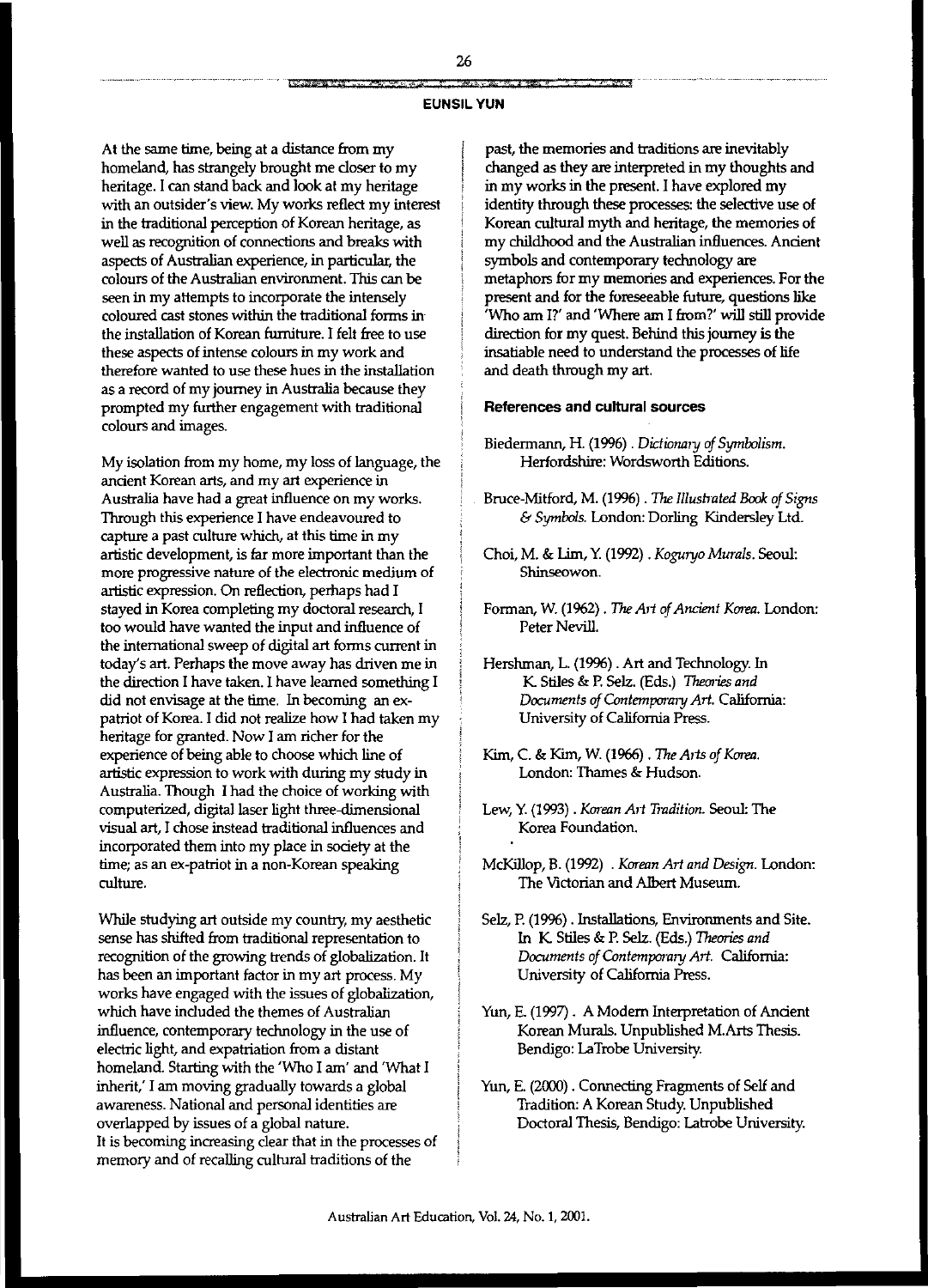#### *'441ik§ig* M-fit" *iRk* **fr,h£ e #1## EUNSILYUN**

At the same time, being at a distance from my homeland, has strangely brought me closer to my heritage. I can stand back and look at my heritage with an outsider's view. My works reflect my interest in the traditional perception of Korean heritage, as well as recognition of connections and breaks with aspects of Australian experience, in particular, the colours of the Australian environment. This can be seen in my attempts to incorporate the intensely coloured cast stones within the traditional forms in· the installation of Korean furniture. I felt free to use these aspects of intense colours in my work and therefore wanted to use these hues in the installation as a record of my journey in Australia because they prompted my further engagement with traditional colours and images.

My isolation from my home, my loss of language, the ancient Korean arts, and my art experience in Australia have had a great influence on my works. Through this experience I have endeavoured to capture a past culture which, at this time in my artistic development, is far more important than the more progressive nature of the electronic medium of artistic expression. On reflection, perhaps had I stayed in Korea completing my doctoral research, I too would have wanted the input and influence of the international sweep of digital art forms current in today's art. Perhaps the move away has driven me in the direction I have taken. I have learned something I did not envisage at the time. In becoming an expatriot of Korea. I did not realize how I had taken my heritage for granted. Now I am richer for the experience of being able to choose which line of artistic expression to work with during my study in Australia. Though I had the choice of working with computerized, digital laser light three-dimensional visual art, I chose instead traditional influences and incorporated them into my place in society at the time; as an ex-patriot in a non-Korean speaking culture.

While studying art outside my country, my aesthetic sense has shifted from traditional representation to recognition of the growing trends of globalization. It has been an important factor in my art process. My works have engaged with the issues of globalization, which have induded the themes of Australian influence, contemporary technology in the use of electric light, and expatriation from a distant homeland. Starting with the 'Who I am' and 'What I inherit: I am moving gradually towards a global awareness. National and personal identities are overlapped by issues of a global nature. It is becoming increasing clear that in the processes of memory and of recalling cultural traditions of the

past, the memories and traditions are inevitably changed as they are interpreted in my thoughts and in my works in the present. I have explored my identity through these processes: the selective use of Korean cultural myth and heritage, the memories of my childhood and the Australian influences. Ancient symbols and contemporary technology are metaphors for my memories and experiences. For the present and for the foreseeable future, questions like 'Who am I?' and 'Where am I from?' will still provide direction for my quest. Behind this journey is the insatiable need to understand the processes of life and death through my art.

## **References and cultural sources**

- Biedermann, H. (1996) . *Dictionary of Symbolism*. Herfordshire: Wordsworth Editions.
- Bruce-Mitford, M. (1996) . The Illustrated Book of Signs & *Symbols.* London: Dorling Kindersley Ltd.
- Choi, M. & Lim, Y. (1992) . *Koguryo Murals*. Seoul: Shinseowon.
- Forman, W. (1962) . The Art of Ancient Korea. London: Peter Nevill.
- Hershman, L. (1996) . Art and Technology. In K Stiles & P. SeIz. (Eds.) *Theories and Documents* of*Contempora,y Art.* California: University of California Press.
- Kim, C. & Kim, W. (1%6) . The *A,ts of Korea.* London: Thames & Hudson.
- Lew, y. (1993) . *Korean A,t Y,·adition.* Seoul: The Korea Foundation.
- McKiJJop, B. (1992) . *Korean Alt and Design.* London: The Victorian and Albert Museum.
- SeIz, P. (1996) . Installations, Environments and Site. In K Stiles & P. SeIz. (Eds.) Theories *and Documents* of Contemporary Art. California: University of California Press.
- Yun, E. (1997). A Modem Interpretation of Ancient Korean Murals. Unpublished M.Arts Thesis. Bendigo: LaTrobe University.
- Yun, E. (2000) . Connecting Fragments of Self and Tradition: A Korean Study. Unpublished Doctoral Thesis, Bendigo: Latrobe University.